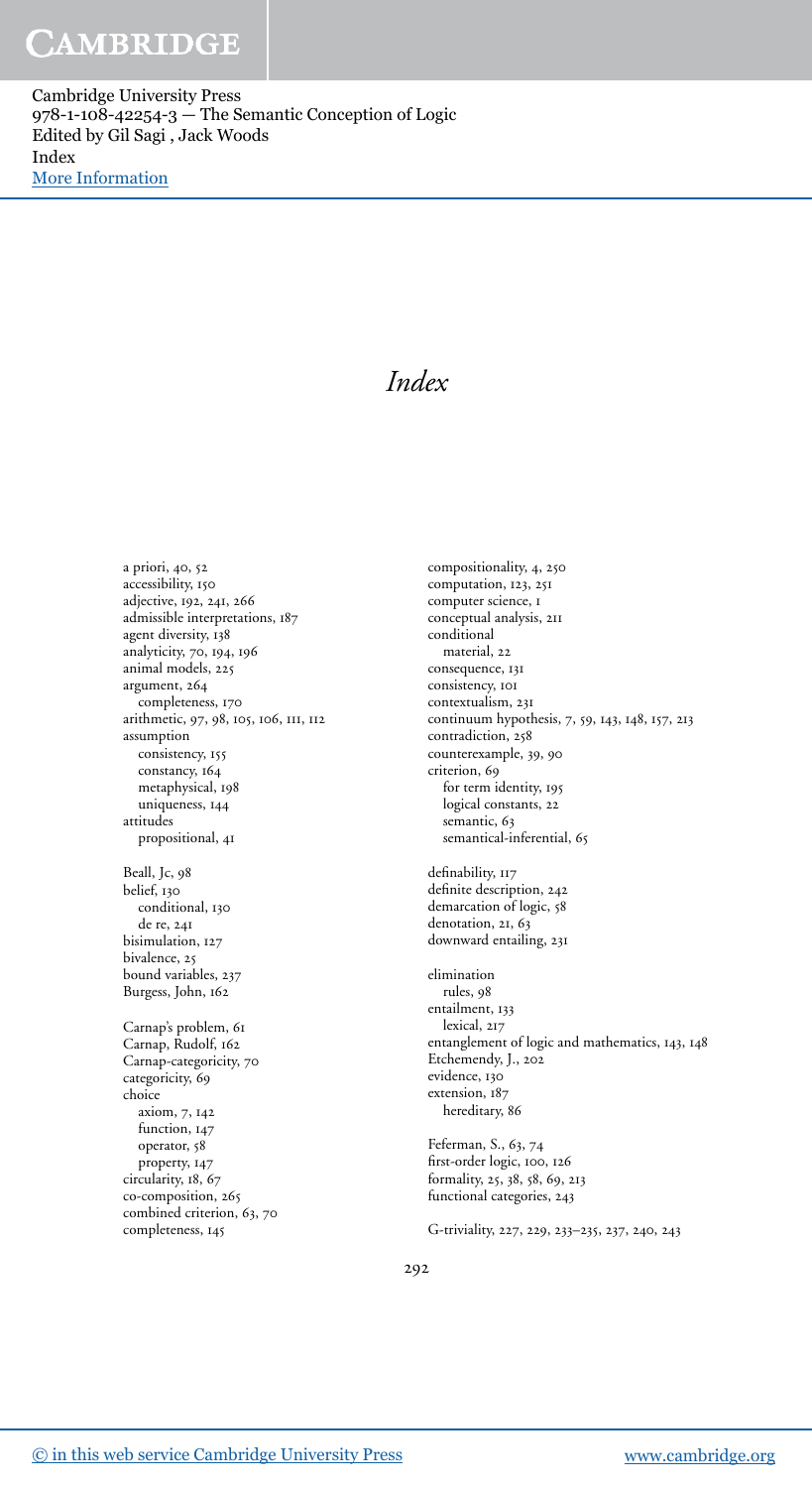## CAMBRIDGE

Cambridge University Press 978-1-108-42254-3 — The Semantic Conception of Logic Edited by Gil Sagi , Jack Woods Index [More Information](www.cambridge.org/9781108422543)

### *Index*

a priori, 40, 52 accessibility, adjective, 192, 241, 266 admissible interpretations, 187 agent diversity, 138 analyticity, 70, 194, 196 animal models, argument, completeness, 170 arithmetic, 97, 98, 105, 106, 111, 112 assumption consistency, 155 constancy, 164 metaphysical, 198 uniqueness, 144 attitudes propositional, 41 Beall, Jc, belief, 130 conditional, 130 de re, bisimulation, 127 bivalence, 25 bound variables, 237 Burgess, John, Carnap's problem, Carnap, Rudolf, Carnap-categoricity, 70 categoricity, 69 choice axiom, 7, 142 function, 147 operator, property, 147 circularity, 18, 67 co-composition, 265 combined criterion, 63, 70 completeness,

compositionality, 4, 250 computation, 123, 251 computer science, I conceptual analysis, conditional material, 22 consequence, 131 consistency, 101 contextualism, continuum hypothesis, 7, 59, 143, 148, 157, 213 contradiction, 258 counterexample, 39, 90 criterion, 69 for term identity, logical constants, 22 semantic, 63 semantical-inferential, 65 definability, 117 definite description, 242 demarcation of logic, 58 denotation, 21, 63 downward entailing, 231 elimination rules, entailment, 133 lexical, 217 entanglement of logic and mathematics, 143, 148 Etchemendy, J., evidence, 130 extension, 187 hereditary, 86 Feferman, S., 63, 74 first-order logic, 100, 126 formality, 25, 38, 58, 69, 213 functional categories, 243 G-triviality, 227, 229, 233-235, 237, 240, 243

292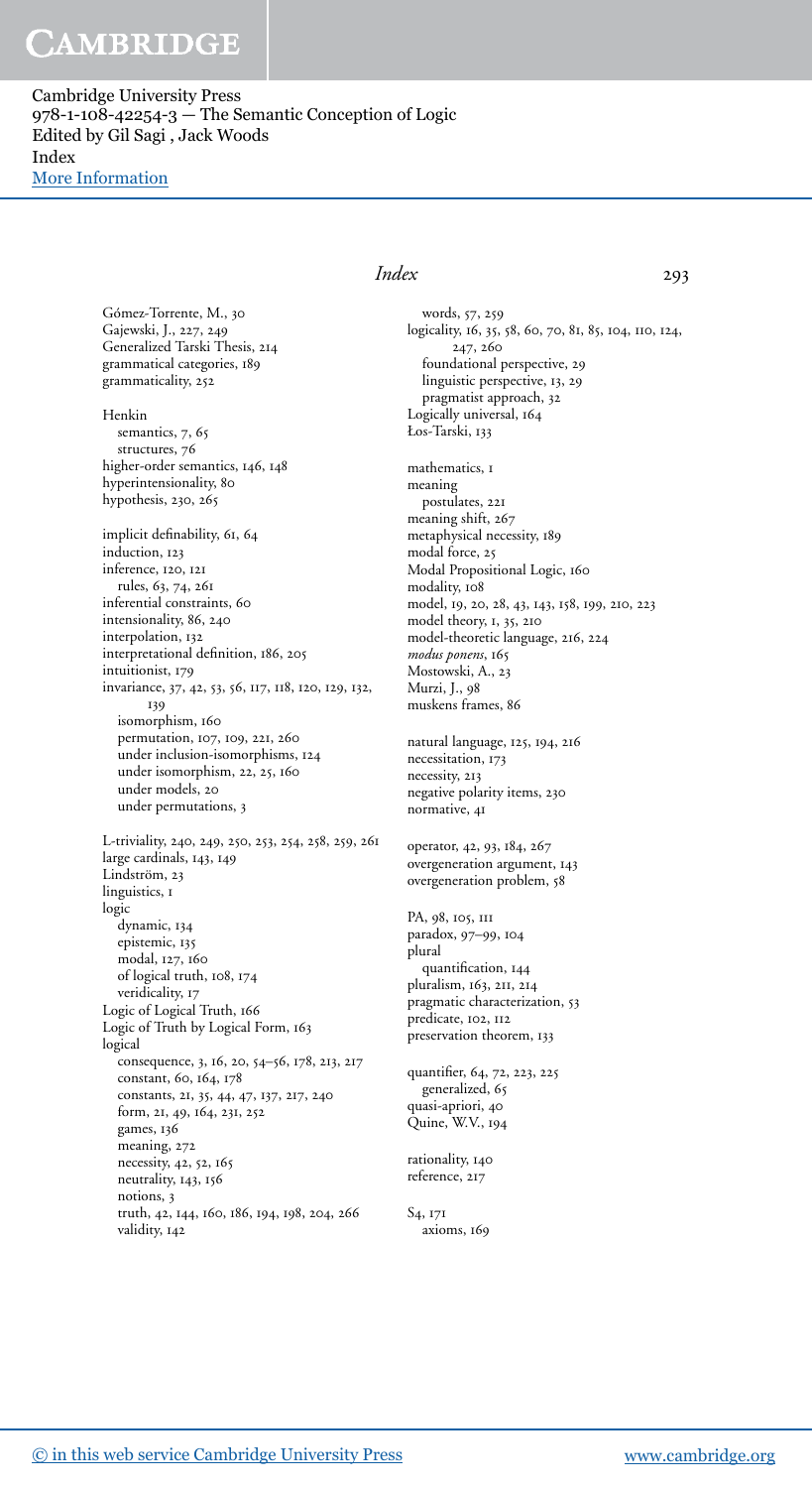## CAMBRIDGE

Cambridge University Press  $978-1-108-42254-3$  – The Semantic Conception of Logic Edited by Gil Sagi , Jack Woods Index [More Information](www.cambridge.org/9781108422543)

> Gómez-Torrente, M., Gajewski, J., 227, 249 Generalized Tarski Thesis, grammatical categories, grammaticality, 252

Henkin semantics, 7, 65 structures, 76 higher-order semantics, 146, 148 hyperintensionality, hypothesis, 230, 265 implicit definability, 61, 64 induction, 123 inference, 120, 121 rules, 63, 74, 261 inferential constraints, intensionality, 86, 240 interpolation, interpretational definition, 186, 205 intuitionist, 179 invariance, 37, 42, 53, 56, 117, 118, 120, 129, 132, 139 isomorphism, permutation, 107, 109, 221, 260 under inclusion-isomorphisms, 124

under isomorphism, 22, 25, 160

under models, 20 under permutations, L-triviality, 240, 249, 250, 253, 254, 258, 259, 261 large cardinals,  $143, 149$ Lindström, 23 linguistics, I logic dynamic, epistemic, modal, 127, 160 of logical truth, 108, 174 veridicality, 17 Logic of Logical Truth, 166 Logic of Truth by Logical Form, logical consequence, 3, 16, 20, 54-56, 178, 213, 217 constant, 60, 164, 178 constants, 21, 35, 44, 47, 137, 217, 240 form, 21, 49, 164, 231, 252 games, meaning, 272 necessity, 42, 52, 165 neutrality, 143, 156 notions, 3 truth, 42, 144, 160, 186, 194, 198, 204, 266 validity, 142

### *Index*

words, 57, 259 logicality, 16, 35, 58, 60, 70, 81, 85, 104, 110, 124, 247, 260 foundational perspective, linguistic perspective, 13, 29 pragmatist approach, Logically universal, 164 Łos-Tarski, mathematics, **1** 

meaning postulates, 221 meaning shift, metaphysical necessity, 189 modal force, 25 Modal Propositional Logic, modality, 108 model, 19, 20, 28, 43, 143, 158, 199, 210, 223 model theory, 1, 35, 210 model-theoretic language, 216, 224 *modus ponens*, Mostowski, A., Murzi, J., muskens frames,

natural language, 125, 194, 216 necessitation, 173 necessity, 213 negative polarity items, normative, 41

operator, 42, 93, 184, 267 overgeneration argument, 143 overgeneration problem,

PA, 98, 105, 111 paradox, 97-99, 104 plural quantification, pluralism, 163, 211, 214 pragmatic characterization, 53 predicate, 102, 112 preservation theorem, 133

quantifier, 64, 72, 223, 225 generalized, quasi-apriori, Quine, W.V.,

rationality, reference, 217

S<sub>4</sub>, 17<sub>1</sub> axioms,